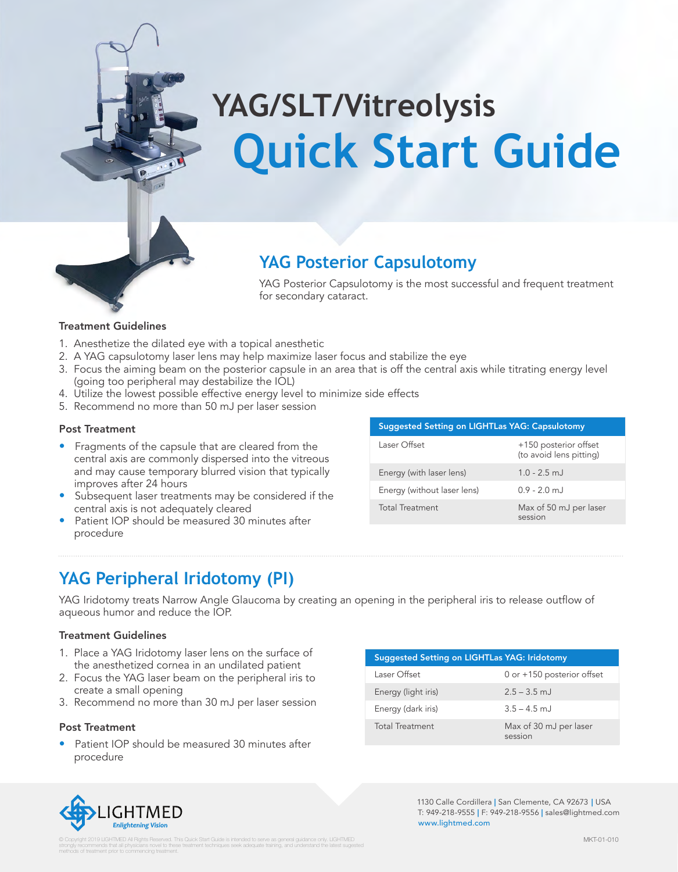

### **YAG Posterior Capsulotomy**

YAG Posterior Capsulotomy is the most successful and frequent treatment for secondary cataract.

#### Treatment Guidelines

- 1. Anesthetize the dilated eye with a topical anesthetic
- 2. A YAG capsulotomy laser lens may help maximize laser focus and stabilize the eye
- 3. Focus the aiming beam on the posterior capsule in an area that is off the central axis while titrating energy level (going too peripheral may destabilize the IOL)
- 4. Utilize the lowest possible effective energy level to minimize side effects
- 5. Recommend no more than 50 mJ per laser session

#### Post Treatment

- Fragments of the capsule that are cleared from the central axis are commonly dispersed into the vitreous and may cause temporary blurred vision that typically improves after 24 hours
- Subsequent laser treatments may be considered if the central axis is not adequately cleared
- Patient IOP should be measured 30 minutes after procedure

#### Suggested Setting on LIGHTLas YAG: Capsulotomy Laser Offset +150 posterior offset (to avoid lens pitting)

| Energy (with laser lens)    | $1.0 - 2.5$ mJ         |
|-----------------------------|------------------------|
| Energy (without laser lens) | $0.9 - 2.0$ m.         |
| <b>Total Treatment</b>      | Max of 50 mJ per laser |

session

### **YAG Peripheral Iridotomy (PI)**

YAG Iridotomy treats Narrow Angle Glaucoma by creating an opening in the peripheral iris to release outflow of aqueous humor and reduce the IOP.

### Treatment Guidelines

- 1. Place a YAG Iridotomy laser lens on the surface of the anesthetized cornea in an undilated patient
- 2. Focus the YAG laser beam on the peripheral iris to create a small opening
- 3. Recommend no more than 30 mJ per laser session

### Post Treatment

Patient IOP should be measured 30 minutes after procedure

| <b>Suggested Setting on LIGHTLas YAG: Iridotomy</b> |                                   |  |
|-----------------------------------------------------|-----------------------------------|--|
| Laser Offset                                        | 0 or +150 posterior offset        |  |
| Energy (light iris)                                 | $2.5 - 3.5$ m.l.                  |  |
| Energy (dark iris)                                  | $3.5 - 4.5$ m.l.                  |  |
| <b>Total Treatment</b>                              | Max of 30 mJ per laser<br>session |  |



1130 Calle Cordillera | San Clemente, CA 92673 | USA T: 949-218-9555 | F: 949-218-9556 | sales@lightmed.com www.lightmed.com

. This Quick Start Guide is intended to serve as general guidence only. UGHTMED<br>See treatment technic as seek adopt the training and understand the latest supported